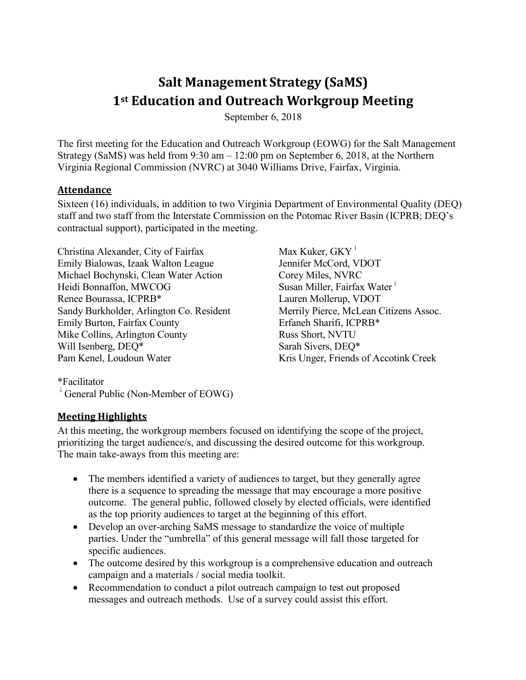# **Salt Management Strategy (SaMS) 1st Education and Outreach Workgroup Meeting**

September 6, 2018

The first meeting for the Education and Outreach Workgroup (EOWG) for the Salt Management Strategy (SaMS) was held from 9:30 am – 12:00 pm on September 6, 2018, at the Northern Virginia Regional Commission (NVRC) at 3040 Williams Drive, Fairfax, Virginia.

#### **Attendance**

Sixteen (16) individuals, in addition to two Virginia Department of Environmental Quality (DEQ) staff and two staff from the Interstate Commission on the Potomac River Basin (ICPRB; DEQ's contractual support), participated in the meeting.

Christina Alexander, City of Fairfax Emily Bialowas, Izaak Walton League Michael Bochynski, Clean Water Action Heidi Bonnaffon, MWCOG Renee Bourassa, ICPRB\* Sandy Burkholder, Arlington Co. Resident Emily Burton, Fairfax County Mike Collins, Arlington County Will Isenberg, DEQ\* Pam Kenel, Loudoun Water

Max Kuker, GKY<sup>i</sup> Jennifer McCord, VDOT Corey Miles, NVRC Susan Miller, Fairfax Water<sup>1</sup> Lauren Mollerup, VDOT Merrily Pierce, McLean Citizens Assoc. Erfaneh Sharifi, ICPRB\* Russ Short, NVTU Sarah Sivers, DEQ\* Kris Unger, Friends of Accotink Creek

\*Facilitator

<sup>i</sup> General Public (Non-Member of EOWG)

#### **Meeting Highlights**

At this meeting, the workgroup members focused on identifying the scope of the project, prioritizing the target audience/s, and discussing the desired outcome for this workgroup. The main take-aways from this meeting are:

- The members identified a variety of audiences to target, but they generally agree there is a sequence to spreading the message that may encourage a more positive outcome. The general public, followed closely by elected officials, were identified as the top priority audiences to target at the beginning of this effort.
- Develop an over-arching SaMS message to standardize the voice of multiple parties. Under the "umbrella" of this general message will fall those targeted for specific audiences.
- The outcome desired by this workgroup is a comprehensive education and outreach campaign and a materials / social media toolkit.
- Recommendation to conduct a pilot outreach campaign to test out proposed messages and outreach methods. Use of a survey could assist this effort.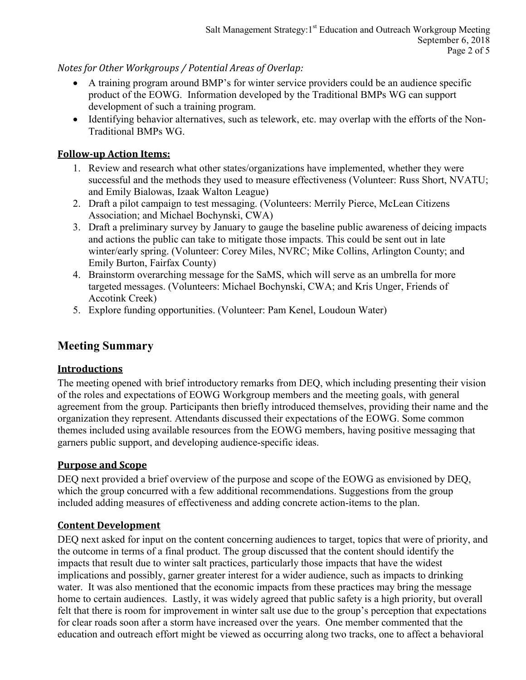#### *Notes for Other Workgroups / Potential Areas of Overlap:*

- A training program around BMP's for winter service providers could be an audience specific product of the EOWG. Information developed by the Traditional BMPs WG can support development of such a training program.
- Identifying behavior alternatives, such as telework, etc. may overlap with the efforts of the Non-Traditional BMPs WG.

## **Follow-up Action Items:**

- 1. Review and research what other states/organizations have implemented, whether they were successful and the methods they used to measure effectiveness (Volunteer: Russ Short, NVATU; and Emily Bialowas, Izaak Walton League)
- 2. Draft a pilot campaign to test messaging. (Volunteers: Merrily Pierce, McLean Citizens Association; and Michael Bochynski, CWA)
- 3. Draft a preliminary survey by January to gauge the baseline public awareness of deicing impacts and actions the public can take to mitigate those impacts. This could be sent out in late winter/early spring. (Volunteer: Corey Miles, NVRC; Mike Collins, Arlington County; and Emily Burton, Fairfax County)
- 4. Brainstorm overarching message for the SaMS, which will serve as an umbrella for more targeted messages. (Volunteers: Michael Bochynski, CWA; and Kris Unger, Friends of Accotink Creek)
- 5. Explore funding opportunities. (Volunteer: Pam Kenel, Loudoun Water)

## **Meeting Summary**

## **Introductions**

The meeting opened with brief introductory remarks from DEQ, which including presenting their vision of the roles and expectations of EOWG Workgroup members and the meeting goals, with general agreement from the group. Participants then briefly introduced themselves, providing their name and the organization they represent. Attendants discussed their expectations of the EOWG. Some common themes included using available resources from the EOWG members, having positive messaging that garners public support, and developing audience-specific ideas.

## **Purpose and Scope**

DEQ next provided a brief overview of the purpose and scope of the EOWG as envisioned by DEQ, which the group concurred with a few additional recommendations. Suggestions from the group included adding measures of effectiveness and adding concrete action-items to the plan.

## **Content Development**

DEQ next asked for input on the content concerning audiences to target, topics that were of priority, and the outcome in terms of a final product. The group discussed that the content should identify the impacts that result due to winter salt practices, particularly those impacts that have the widest implications and possibly, garner greater interest for a wider audience, such as impacts to drinking water. It was also mentioned that the economic impacts from these practices may bring the message home to certain audiences. Lastly, it was widely agreed that public safety is a high priority, but overall felt that there is room for improvement in winter salt use due to the group's perception that expectations for clear roads soon after a storm have increased over the years. One member commented that the education and outreach effort might be viewed as occurring along two tracks, one to affect a behavioral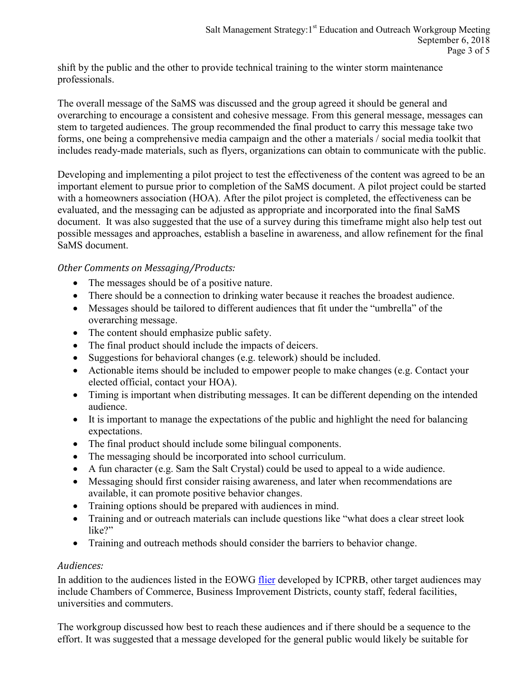shift by the public and the other to provide technical training to the winter storm maintenance professionals.

The overall message of the SaMS was discussed and the group agreed it should be general and overarching to encourage a consistent and cohesive message. From this general message, messages can stem to targeted audiences. The group recommended the final product to carry this message take two forms, one being a comprehensive media campaign and the other a materials / social media toolkit that includes ready-made materials, such as flyers, organizations can obtain to communicate with the public.

Developing and implementing a pilot project to test the effectiveness of the content was agreed to be an important element to pursue prior to completion of the SaMS document. A pilot project could be started with a homeowners association (HOA). After the pilot project is completed, the effectiveness can be evaluated, and the messaging can be adjusted as appropriate and incorporated into the final SaMS document. It was also suggested that the use of a survey during this timeframe might also help test out possible messages and approaches, establish a baseline in awareness, and allow refinement for the final SaMS document.

#### *Other Comments on Messaging/Products:*

- The messages should be of a positive nature.
- There should be a connection to drinking water because it reaches the broadest audience.
- Messages should be tailored to different audiences that fit under the "umbrella" of the overarching message.
- The content should emphasize public safety.
- The final product should include the impacts of deicers.
- Suggestions for behavioral changes (e.g. telework) should be included.
- Actionable items should be included to empower people to make changes (e.g. Contact your elected official, contact your HOA).
- Timing is important when distributing messages. It can be different depending on the intended audience.
- It is important to manage the expectations of the public and highlight the need for balancing expectations.
- The final product should include some bilingual components.
- The messaging should be incorporated into school curriculum.
- A fun character (e.g. Sam the Salt Crystal) could be used to appeal to a wide audience.
- Messaging should first consider raising awareness, and later when recommendations are available, it can promote positive behavior changes.
- Training options should be prepared with audiences in mind.
- Training and or outreach materials can include questions like "what does a clear street look like?"
- Training and outreach methods should consider the barriers to behavior change.

#### *Audiences:*

In addition to the audiences listed in the EOWG [flier](https://www.deq.virginia.gov/Portals/0/DEQ/Water/TMDL/SaMS/MeetingMaterials/EandOwg/Meeting1/SaMS_IP_Ed-Outreach-Flier_20180818.pdf?ver=2018-08-31-125940-973) developed by ICPRB, other target audiences may include Chambers of Commerce, Business Improvement Districts, county staff, federal facilities, universities and commuters.

The workgroup discussed how best to reach these audiences and if there should be a sequence to the effort. It was suggested that a message developed for the general public would likely be suitable for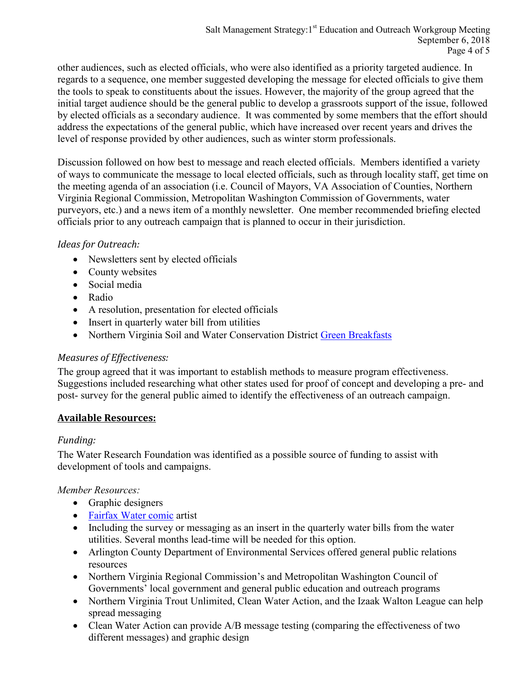other audiences, such as elected officials, who were also identified as a priority targeted audience. In regards to a sequence, one member suggested developing the message for elected officials to give them the tools to speak to constituents about the issues. However, the majority of the group agreed that the initial target audience should be the general public to develop a grassroots support of the issue, followed by elected officials as a secondary audience. It was commented by some members that the effort should address the expectations of the general public, which have increased over recent years and drives the level of response provided by other audiences, such as winter storm professionals.

Discussion followed on how best to message and reach elected officials. Members identified a variety of ways to communicate the message to local elected officials, such as through locality staff, get time on the meeting agenda of an association (i.e. Council of Mayors, VA Association of Counties, Northern Virginia Regional Commission, Metropolitan Washington Commission of Governments, water purveyors, etc.) and a news item of a monthly newsletter. One member recommended briefing elected officials prior to any outreach campaign that is planned to occur in their jurisdiction.

#### *Ideas for Outreach:*

- Newsletters sent by elected officials
- County websites
- Social media
- Radio
- A resolution, presentation for elected officials
- Insert in quarterly water bill from utilities
- Northern Virginia Soil and Water Conservation District [Green Breakfasts](https://www.fairfaxcounty.gov/soil-water-conservation/green-breakfast-0)

#### *Measures of Effectiveness:*

The group agreed that it was important to establish methods to measure program effectiveness. Suggestions included researching what other states used for proof of concept and developing a pre- and post- survey for the general public aimed to identify the effectiveness of an outreach campaign.

#### **Available Resources:**

#### *Funding:*

The Water Research Foundation was identified as a possible source of funding to assist with development of tools and campaigns.

#### *Member Resources:*

- Graphic designers
- [Fairfax Water comic](https://www.fairfaxwater.org/comics) artist
- Including the survey or messaging as an insert in the quarterly water bills from the water utilities. Several months lead-time will be needed for this option.
- Arlington County Department of Environmental Services offered general public relations resources
- Northern Virginia Regional Commission's and Metropolitan Washington Council of Governments' local government and general public education and outreach programs
- Northern Virginia Trout Unlimited, Clean Water Action, and the Izaak Walton League can help spread messaging
- Clean Water Action can provide A/B message testing (comparing the effectiveness of two different messages) and graphic design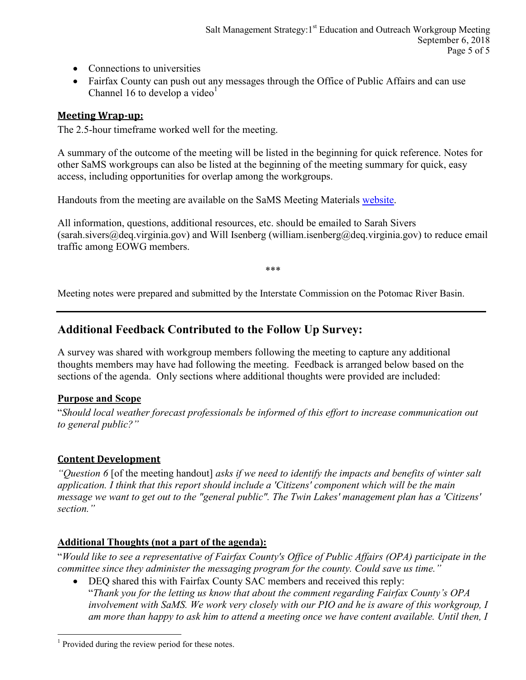- Connections to universities
- Fairfax County can push out any messages through the Office of Public Affairs and can use Channel 16 to develop a video<sup>1</sup>

#### **Meeting Wrap-up:**

The 2.5-hour timeframe worked well for the meeting.

A summary of the outcome of the meeting will be listed in the beginning for quick reference. Notes for other SaMS workgroups can also be listed at the beginning of the meeting summary for quick, easy access, including opportunities for overlap among the workgroups.

Handouts from the meeting are available on the SaMS Meeting Materials [website.](https://www.deq.virginia.gov/SaMS/MeetingMaterials.aspx)

All information, questions, additional resources, etc. should be emailed to Sarah Sivers (sarah.sivers@deq.virginia.gov) and Will Isenberg (william.isenberg@deq.virginia.gov) to reduce email traffic among EOWG members.

\*\*\*

Meeting notes were prepared and submitted by the Interstate Commission on the Potomac River Basin.

## **Additional Feedback Contributed to the Follow Up Survey:**

A survey was shared with workgroup members following the meeting to capture any additional thoughts members may have had following the meeting. Feedback is arranged below based on the sections of the agenda. Only sections where additional thoughts were provided are included:

#### **Purpose and Scope**

"*Should local weather forecast professionals be informed of this effort to increase communication out to general public?"*

#### **Content Development**

 $\overline{a}$ 

*"Question 6* [of the meeting handout] *asks if we need to identify the impacts and benefits of winter salt application. I think that this report should include a 'Citizens' component which will be the main message we want to get out to the "general public". The Twin Lakes' management plan has a 'Citizens' section."*

#### **Additional Thoughts (not a part of the agenda):**

"*Would like to see a representative of Fairfax County's Office of Public Affairs (OPA) participate in the committee since they administer the messaging program for the county. Could save us time.*"

 DEQ shared this with Fairfax County SAC members and received this reply: "*Thank you for the letting us know that about the comment regarding Fairfax County's OPA involvement with SaMS. We work very closely with our PIO and he is aware of this workgroup, I am more than happy to ask him to attend a meeting once we have content available. Until then, I* 

<sup>&</sup>lt;sup>1</sup> Provided during the review period for these notes.